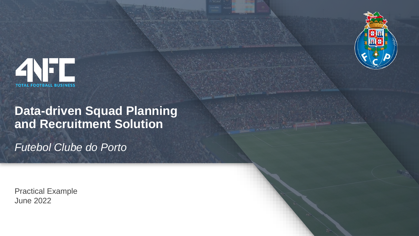



## **Data-driven Squad Planning and Recruitment Solution**

*Futebol Clube do Porto*

Practical Example June 2022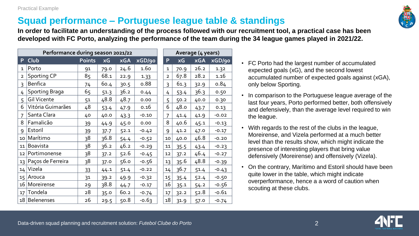### **Squad performance – Portuguese league table & standings**

**In order to facilitate an understanding of the process followed with our recruitment tool, a practical case has been developed with FC Porto, analyzing the performance of the team during the 34 league games played in 2021/22.**

**P Club Points xG xGA xGD/90 P xG xGA xGD/90**

| Performance during season 2021/22 |                       |        |      |            |         |  | Average (4 years) |      |            |                    |
|-----------------------------------|-----------------------|--------|------|------------|---------|--|-------------------|------|------------|--------------------|
| P                                 | Club                  | Points | xG   | <b>xGA</b> | xGD/90  |  | P                 | xG   | <b>xGA</b> | $x\overline{GD/g}$ |
| $\mathbf{1}$                      | Porto                 | 91     | 79.0 | 24.6       | 1.60    |  | $\mathbf 1$       | 70.9 | 26.2       | 1.32               |
| $\overline{2}$                    | Sporting CP           | 85     | 68.1 | 22.9       | 1.33    |  | $\overline{2}$    | 67.8 | 28.2       | 1.16               |
| 3                                 | <b>Benfica</b>        | 74     | 60.4 | 30.5       | 0.88    |  | 3                 | 61.3 | 32.9       | 0.84               |
| 4                                 | <b>Sporting Braga</b> | 65     | 51.3 | 36.2       | 0.44    |  | 4                 | 53.4 | 36.3       | 0.50               |
| 5                                 | <b>Gil Vicente</b>    | 51     | 48.8 | 48.7       | 0.00    |  | 5                 | 50.2 | 40.0       | 0.30               |
| 6                                 | Vitória Guimarães     | 48     | 53.4 | 47.9       | 0.16    |  | 6                 | 48.0 | 43.7       | 0.13               |
| $\overline{7}$                    | Santa Clara           | 40     | 40.0 | 43.3       | $-0.10$ |  | 7                 | 41.4 | 41.9       | $-0.02$            |
| 8                                 | Famalicão             | 39     | 44.9 | 45.0       | 0.00    |  | 8                 | 40.6 | 45.1       | $-0.13$            |
| 9                                 | Estoril               | 39     | 37.7 | 52.1       | $-0.42$ |  | 9                 | 41.2 | 47.0       | $-0.17$            |
| 10 <sup>1</sup>                   | Marítimo              | 38     | 36.8 | 54.4       | $-0.52$ |  | 10                | 40.0 | 46.8       | $-0.20$            |
| 11                                | <b>Boavista</b>       | 38     | 36.2 | 46.2       | $-0.29$ |  | 11                | 35.5 | 43.4       | $-0.23$            |
| 12                                | Portimonense          | 38     | 37.2 | 52.6       | $-0.45$ |  | 12                | 37.2 | 46.4       | $-0.27$            |
| 13                                | Paços de Ferreira     | 38     | 37.0 | 56.0       | -0.56   |  | 13                | 35.6 | 48.8       | $-0.39$            |
| 14                                | Vizela                | 33     | 44.1 | 51.4       | $-0.22$ |  | 14                | 36.7 | 51.4       | $-0.43$            |
| 15                                | Arouca                | 31     | 39.2 | 49.9       | $-0.32$ |  | 15                | 35.4 | 52.4       | $-0.50$            |
| 16                                | Moreirense            | 29     | 38.8 | 44.7       | $-0.17$ |  | 16                | 35.1 | 54.2       | $-0.56$            |
| 17                                | Tondela               | 28     | 35.0 | 60.2       | $-0.74$ |  | 17                | 32.2 | 52.8       | $-0.61$            |
|                                   | $18$ Belenenses       | 26     | 29.5 | 50.8       | $-0.63$ |  | 18                | 31.9 | 57.0       | $-0.74$            |

Practical Example

- FC Porto had the largest number of accumulated expected goals (xG), and the second lowest accumulated number of expected goals against (xGA), only below Sporting.
- In comparison to the Portuguese league average of the last four years, Porto performed better, both offensively and defensively, than the average level required to win the league.
- With regards to the rest of the clubs in the league, Moreirense, and Vizela performed at a much better level than the results show, which might indicate the presence of interesting players that bring value defensively (Moreirense) and offensively (Vizela).
- On the contrary, Marítimo and Estoril should have been quite lower in the table, which might indicate overperformance, hence a a word of caution when scouting at these clubs.



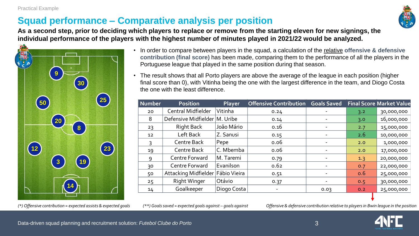## **Squad performance – Comparative analysis per position**



**As a second step, prior to deciding which players to replace or remove from the starting eleven for new signings, the individual performance of the players with the highest number of minutes played in 2021/22 would be analyzed.**



- In order to compare between players in the squad, a calculation of the relative **offensive & defensive contribution (final score)** has been made, comparing them to the performance of all the players in the Portuguese league that played in the same position during that season.
- The result shows that all Porto players are above the average of the league in each position (higher final score than 0), with Vitinha being the one with the largest difference in the team, and Diogo Costa the one with the least difference.

| 50                                                                                                                                                                                                                     | 25 <sub>1</sub>               | Number | Position                        | Player       | <b>Offensive Contribution</b> | <b>Goals Saved</b> |     | <b>Final Score Market Value</b> |  |
|------------------------------------------------------------------------------------------------------------------------------------------------------------------------------------------------------------------------|-------------------------------|--------|---------------------------------|--------------|-------------------------------|--------------------|-----|---------------------------------|--|
|                                                                                                                                                                                                                        |                               | 20     | <b>Central Midfielder</b>       | Vitinha      | 0.24                          |                    | 3.2 | 30,000,000                      |  |
|                                                                                                                                                                                                                        | 20<br>$\bf{8}$<br>23          | 8      | Defensive Midfielder   M. Uribe |              | 0.14                          |                    | 3.0 | 16,000,000                      |  |
|                                                                                                                                                                                                                        |                               | 23     | Right Back                      | João Mário   | 0.16                          |                    | 2.7 | 15,000,000                      |  |
|                                                                                                                                                                                                                        |                               | 12     | Left Back                       | Z. Sanusi    | 0.15                          |                    | 2.6 | 10,000,000                      |  |
|                                                                                                                                                                                                                        |                               |        | Centre Back                     | Pepe         | 0.06                          |                    | 2.0 | 1,000,000                       |  |
| $\left(12\right)$                                                                                                                                                                                                      |                               | 19     | Centre Back                     | C. Mbemba    | 0.06                          |                    | 2.0 | 17,000,000                      |  |
|                                                                                                                                                                                                                        | 19<br>$\overline{\mathbf{3}}$ | 9      | Centre Forward                  | M. Taremi    | 0.79                          |                    | 1.3 | 20,000,000                      |  |
|                                                                                                                                                                                                                        |                               | 30     | Centre Forward                  | Evanilson    | 0.62                          |                    | 0.7 | 22,000,000                      |  |
|                                                                                                                                                                                                                        |                               | 50     | Attacking Midfielder            | Fábio Vieira | 0.51                          |                    | 0.6 | 25,000,000                      |  |
|                                                                                                                                                                                                                        |                               | 25     | <b>Right Winger</b>             | Otávio       | 0.37                          |                    | 0.5 | 30,000,000                      |  |
|                                                                                                                                                                                                                        | 14                            | 14     | Goalkeeper                      | Diogo Costa  |                               | 0.03               | 0.2 | 25,000,000                      |  |
|                                                                                                                                                                                                                        |                               |        |                                 |              |                               |                    |     |                                 |  |
| (*) Offensive contribution = expected assists & expected goals<br>$(**)$ Goals saved = expected goals against – goals against<br>Offensive & defensive contribution relative to players in Bwin league in the position |                               |        |                                 |              |                               |                    |     |                                 |  |